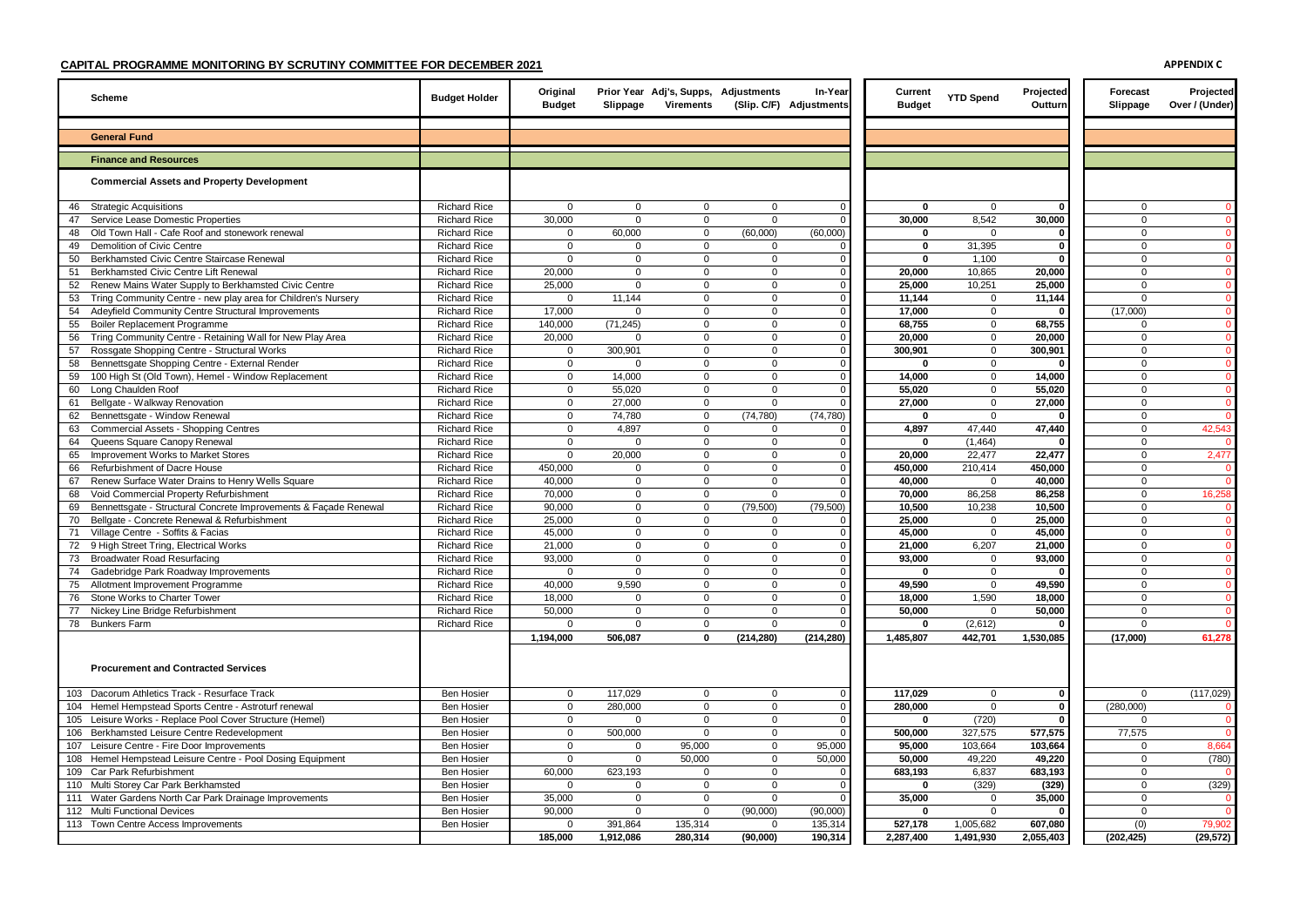| <b>Scheme</b>                                                                                   | <b>Budget Holder</b>                       | Original<br><b>Budget</b> | Slippage                   | Prior Year Adj's, Supps, Adjustments<br>Virements |                         | In-Year<br>(Slip. C/F) Adjustments | Current<br><b>Budget</b> | <b>YTD Spend</b>    | Projected<br>Outturn | Forecast<br>Slippage        | Projected<br>Over / (Under)    |
|-------------------------------------------------------------------------------------------------|--------------------------------------------|---------------------------|----------------------------|---------------------------------------------------|-------------------------|------------------------------------|--------------------------|---------------------|----------------------|-----------------------------|--------------------------------|
| <b>General Fund</b>                                                                             |                                            |                           |                            |                                                   |                         |                                    |                          |                     |                      |                             |                                |
| <b>Finance and Resources</b>                                                                    |                                            |                           |                            |                                                   |                         |                                    |                          |                     |                      |                             |                                |
| <b>Commercial Assets and Property Development</b>                                               |                                            |                           |                            |                                                   |                         |                                    |                          |                     |                      |                             |                                |
| 46<br><b>Strategic Acquisitions</b>                                                             | <b>Richard Rice</b>                        | $\Omega$                  | $\Omega$                   | 0                                                 | $\mathbf 0$             | $\mathbf 0$                        | 0                        | $\Omega$            | $\mathbf{r}$         | $\mathbf{0}$                | $\mathbf{0}$                   |
| Service Lease Domestic Properties<br>47                                                         | <b>Richard Rice</b>                        | 30,000                    | $\mathbf 0$                | $\mathbf 0$                                       | $\Omega$                |                                    | 30,000                   | 8,542               | 30,000               | $\mathbf{0}$                | $\overline{0}$                 |
| Old Town Hall - Cafe Roof and stonework renewal<br>48                                           | <b>Richard Rice</b>                        | $\Omega$                  | 60,000                     | $\mathbf 0$                                       | (60,000)                | (60,000)                           | 0                        | $\Omega$            | -0                   | $\mathbf 0$                 | $\mathbf{0}$                   |
| Demolition of Civic Centre<br>49                                                                | <b>Richard Rice</b>                        | $\Omega$<br>$\Omega$      | $\Omega$                   | $\Omega$                                          | $\Omega$                |                                    | $\mathbf{0}$             | 31,395              | 0<br>0               | 0                           | $\Omega$                       |
| Berkhamsted Civic Centre Staircase Renewal<br>50<br>Berkhamsted Civic Centre Lift Renewal<br>51 | <b>Richard Rice</b><br><b>Richard Rice</b> | 20,000                    | 0<br>$\mathsf 0$           | 0<br>$\mathbf{0}$                                 | $\mathbf 0$<br>$\Omega$ | $\mathbf 0$<br>$\Omega$            | 0<br>20,000              | 1,100<br>10,865     | 20,000               | $\mathbf 0$<br>$\mathbf 0$  | $\overline{0}$<br>$\mathbf{0}$ |
| 52 Renew Mains Water Supply to Berkhamsted Civic Centre                                         | <b>Richard Rice</b>                        | 25,000                    | $\mathbf 0$                | $\mathbf{0}$                                      | 0                       | $\mathbf 0$                        | 25,000                   | 10,251              | 25,000               | $\mathbf 0$                 | $\mathbf{0}$                   |
| 53<br>Tring Community Centre - new play area for Children's Nursery                             | <b>Richard Rice</b>                        | $\Omega$                  | 11,144                     | $\mathbf 0$                                       | $\Omega$                | $\Omega$                           | 11,144                   | $\Omega$            | 11,144               | $\mathbf 0$                 | $\mathbf{0}$                   |
| Adeyfield Community Centre Structural Improvements<br>54                                        | <b>Richard Rice</b>                        | 17,000                    | 0                          | $\Omega$                                          | $\Omega$                | $\Omega$                           | 17,000                   | $\mathbf 0$         |                      | (17,000)                    | $\overline{0}$                 |
| 55<br>Boiler Replacement Programme                                                              | <b>Richard Rice</b>                        | 140,000                   | (71, 245)                  | $\Omega$                                          | $\Omega$                | $\Omega$                           | 68,755                   | $\mathbf{0}$        | 68,755               | 0                           | $\Omega$                       |
| Tring Community Centre - Retaining Wall for New Play Area<br>56                                 | <b>Richard Rice</b>                        | 20,000                    | $\Omega$                   | $\Omega$                                          | $\Omega$                | $\Omega$                           | 20,000                   | $\mathbf{0}$        | 20,000               | $\mathbf 0$                 | $\Omega$                       |
| Rossgate Shopping Centre - Structural Works<br>57                                               | <b>Richard Rice</b>                        | 0                         | 300,901                    | $\Omega$                                          | $\Omega$                | $\Omega$                           | 300,901                  | $\mathbf 0$         | 300,901              | $\Omega$                    | $\Omega$                       |
| Bennettsgate Shopping Centre - External Render<br>58                                            | <b>Richard Rice</b>                        | $\mathsf 0$               | $\Omega$                   | $\mathbf 0$                                       | $\Omega$                |                                    | $\Omega$                 | $\mathbf 0$         |                      | $\mathbf 0$                 | $\Omega$                       |
| 100 High St (Old Town), Hemel - Window Replacement<br>59                                        | <b>Richard Rice</b>                        | $\mathsf 0$               | 14,000                     | $\mathbf 0$                                       | $\mathbf 0$             | $\mathbf 0$                        | 14,000                   | $\mathbf 0$         | 14,000               | $\mathbf 0$                 | $\Omega$                       |
| 60<br>Long Chaulden Roof                                                                        | <b>Richard Rice</b>                        | 0                         | 55,020                     | $\Omega$                                          | $\Omega$                |                                    | 55,020                   | $\mathbf 0$         | 55,020               | 0                           | $\mathbf{0}$                   |
| Bellgate - Walkway Renovation<br>61                                                             | <b>Richard Rice</b>                        | 0                         | 27,000                     | 0                                                 | $\Omega$                |                                    | 27,000                   | $\mathbf 0$         | 27,000               | $\mathbf 0$                 | $\mathbf{0}$                   |
| Bennettsgate - Window Renewal<br>62                                                             | <b>Richard Rice</b>                        | $\Omega$                  | 74,780                     | $\mathbf 0$                                       | (74, 780)               | (74, 780)                          | 0                        | $\Omega$            |                      | $\mathbf 0$                 | $\Omega$                       |
| 63<br>Commercial Assets - Shopping Centres                                                      | <b>Richard Rice</b>                        | $\mathbf 0$               | 4,897                      | $\mathbf 0$                                       | $\Omega$                |                                    | 4,897                    | 47,440              | 47,440               | 0                           | 42,543                         |
| Queens Square Canopy Renewal<br>64                                                              | <b>Richard Rice</b>                        | $\Omega$                  | $\Omega$                   | $\Omega$                                          | $\Omega$                |                                    | $\Omega$                 | (1.464)             |                      | $\Omega$                    |                                |
| 65<br>Improvement Works to Market Stores<br><b>Refurbishment of Dacre House</b><br>66           | <b>Richard Rice</b><br><b>Richard Rice</b> | $\Omega$<br>450.000       | 20,000<br>$\Omega$         | $\mathbf 0$<br>$\mathbf 0$                        | $\Omega$<br>$\Omega$    | $\Omega$<br>$\Omega$               | 20.000<br>450.000        | 22.477              | 22.477<br>450.000    | $\mathbf{0}$<br>$\mathbf 0$ | 2,477<br>$\Omega$              |
| Renew Surface Water Drains to Henry Wells Square<br>67                                          | <b>Richard Rice</b>                        | 40,000                    | $\mathsf 0$                | $\Omega$                                          | $\Omega$                |                                    | 40,000                   | 210,414<br>$\Omega$ | 40,000               | $\mathbf 0$                 | $\overline{0}$                 |
| Void Commercial Property Refurbishment<br>68                                                    | Richard Rice                               | 70,000                    | $\mathbf 0$                | $\Omega$                                          | $\Omega$                |                                    | 70,000                   | 86,258              | 86,258               | 0                           | 16,258                         |
| Bennettsgate - Structural Concrete Improvements & Façade Renewal<br>69                          | <b>Richard Rice</b>                        | 90,000                    | 0                          | $\mathbf 0$                                       | (79,500)                | (79, 500)                          | 10,500                   | 10,238              | 10,500               | $\mathbf 0$                 | $\overline{0}$                 |
| Bellgate - Concrete Renewal & Refurbishment<br>70                                               | <b>Richard Rice</b>                        | 25,000                    | $\mathbf{0}$               | $\Omega$                                          | $\Omega$                |                                    | 25,000                   | $\mathbf 0$         | 25,000               | $\mathbf 0$                 | $\Omega$                       |
| 71<br>Village Centre - Soffits & Facias                                                         | <b>Richard Rice</b>                        | 45,000                    | $\mathbf 0$                | $\Omega$                                          | $\Omega$                |                                    | 45,000                   | $\Omega$            | 45,000               | $\mathbf 0$                 | $\Omega$                       |
| 9 High Street Tring, Electrical Works<br>72                                                     | <b>Richard Rice</b>                        | 21,000                    | $\mathbf{0}$               | $\mathbf 0$                                       | $\Omega$                |                                    | 21,000                   | 6,207               | 21,000               | $\mathbf{0}$                | $\mathbf{0}$                   |
| 73<br><b>Broadwater Road Resurfacing</b>                                                        | <b>Richard Rice</b>                        | 93,000                    | $\mathbf 0$                | $\mathbf 0$                                       | $\Omega$                |                                    | 93,000                   | $\mathbf 0$         | 93,000               | $\mathbf 0$                 | $\mathbf{0}$                   |
| Gadebridge Park Roadway Improvements<br>74                                                      | <b>Richard Rice</b>                        | $\Omega$                  | $\mathbf 0$                | $\mathbf 0$                                       | $\Omega$                | $\mathbf 0$                        | 0                        | $\mathbf 0$         |                      | $\mathbf 0$                 | $\mathbf{0}$                   |
| 75<br>Allotment Improvement Programme                                                           | <b>Richard Rice</b>                        | 40,000                    | 9,590                      | $\Omega$                                          | $\Omega$                |                                    | 49,590                   | $\mathbf 0$         | 49,590               | 0                           | $\Omega$                       |
| 76<br>Stone Works to Charter Tower                                                              | <b>Richard Rice</b>                        | 18,000                    | $\mathbf 0$                | $\mathbf 0$                                       | $\Omega$                | $\Omega$                           | 18,000                   | 1,590               | 18,000               | $\mathbf 0$                 | $\mathbf{0}$                   |
| 77<br>Nickey Line Bridge Refurbishment                                                          | <b>Richard Rice</b>                        | 50,000                    | $\mathbf 0$                | $\Omega$                                          | $\Omega$                |                                    | 50,000                   | $\Omega$            | 50,000               | $\mathbf 0$                 | $\Omega$                       |
| 78 Bunkers Farm                                                                                 | <b>Richard Rice</b>                        | $\Omega$                  | $\mathbf 0$                | 0                                                 | $\Omega$                | $\Omega$                           | $\mathbf 0$              | (2,612)             |                      | $\mathbf 0$                 | $\mathbf{0}$                   |
|                                                                                                 |                                            | 1,194,000                 | 506,087                    | 0                                                 | (214, 280)              | (214, 280)                         | 1,485,807                | 442,701             | 1,530,085            | (17,000)                    | 61,278                         |
| <b>Procurement and Contracted Services</b>                                                      |                                            |                           |                            |                                                   |                         |                                    |                          |                     |                      |                             |                                |
| 103 Dacorum Athletics Track - Resurface Track                                                   | <b>Ben Hosier</b>                          | $\mathbf 0$               | 117,029                    | $\mathbf 0$                                       | $\mathbf 0$             | $\Omega$                           | 117,029                  | $\mathbf 0$         | $\mathbf{0}$         | $\mathbf 0$                 | (117, 029)                     |
| 104 Hemel Hempstead Sports Centre - Astroturf renewal                                           | <b>Ben Hosier</b>                          | $\mathbf 0$               | 280,000                    | $\Omega$                                          | $\Omega$                | $\Omega$                           | 280,000                  | $\mathbf 0$         | 0                    | (280,000)                   | $\Omega$                       |
| 105 Leisure Works - Replace Pool Cover Structure (Hemel)                                        | <b>Ben Hosier</b>                          | $\Omega$                  | $\Omega$                   | $\Omega$                                          | $\Omega$                |                                    | 0                        | (720)               | $\mathbf{0}$         | $\Omega$                    | $\Omega$                       |
| 106 Berkhamsted Leisure Centre Redevelopment                                                    | <b>Ben Hosier</b>                          | $\mathbf 0$               | 500,000                    | $\Omega$                                          | $\Omega$                |                                    | 500,000                  | 327,575             | 577,575              | 77,575                      | $\overline{0}$                 |
| 107 Leisure Centre - Fire Door Improvements                                                     | Ben Hosier                                 | $\mathbf 0$<br>$\Omega$   | $\mathbf 0$<br>$\mathbf 0$ | 95,000                                            | $\mathbf 0$<br>$\Omega$ | 95,000                             | 95,000                   | 103,664             | 103,664              | 0<br>0                      | 8,664                          |
| 108 Hemel Hempstead Leisure Centre - Pool Dosing Equipment<br>109 Car Park Refurbishment        | <b>Ben Hosier</b>                          | 60,000                    | 623,193                    | 50,000<br>0                                       | $\Omega$                | 50,000                             | 50,000                   | 49,220<br>6,837     | 49,220<br>683,193    | $\mathbf 0$                 | (780)                          |
| 110 Multi Storey Car Park Berkhamsted                                                           | <b>Ben Hosier</b><br><b>Ben Hosier</b>     | $\Omega$                  | $\mathbf 0$                | 0                                                 | $\Omega$                |                                    | 683,193<br>$\mathbf{0}$  | (329)               | (329)                | $\mathbf 0$                 | (329)                          |
| 111 Water Gardens North Car Park Drainage Improvements                                          | <b>Ben Hosier</b>                          | 35,000                    | $\Omega$                   | $\Omega$                                          | $\Omega$                |                                    | 35,000                   | $\mathbf 0$         | 35,000               | $\mathbf 0$                 | $\Omega$                       |
| 112 Multi Functional Devices                                                                    | <b>Ben Hosier</b>                          | 90.000                    | $\Omega$                   | $\Omega$                                          | (90,000)                | (90,000)                           | 0                        | $\Omega$            |                      | $\Omega$                    |                                |
| 113 Town Centre Access Improvements                                                             | <b>Ben Hosier</b>                          | $\Omega$                  | 391,864                    | 135,314                                           | $\Omega$                | 135,314                            | 527,178                  | 1,005,682           | 607,080              | (0)                         | 79,902                         |
|                                                                                                 |                                            | 185.000                   | 1.912.086                  | 280.314                                           | (90,000)                | 190.314                            | 2,287,400                | 1.491.930           | 2,055,403            | (202, 425)                  | (29, 572)                      |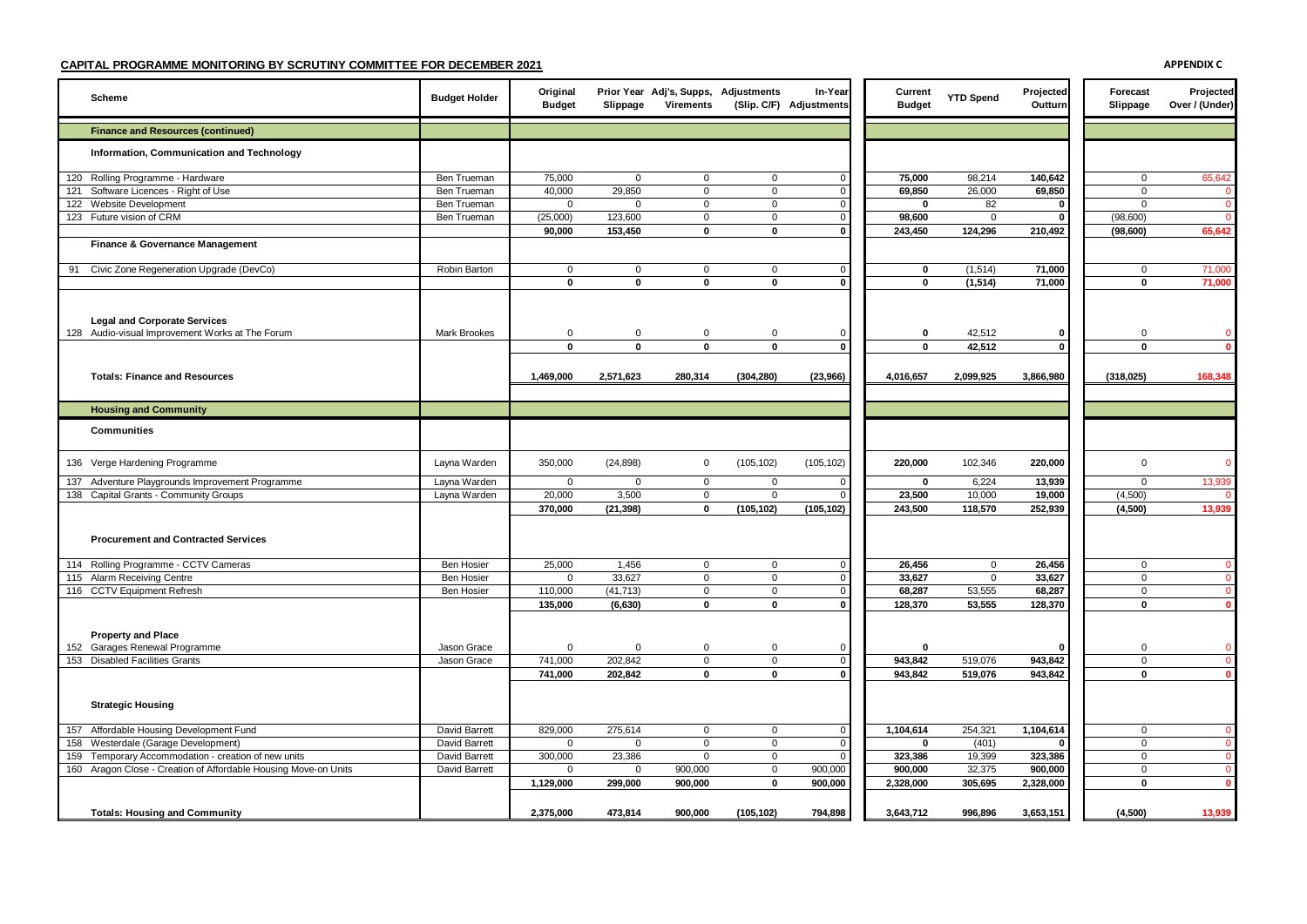| Scheme                                                                                                                 | <b>Budget Holder</b>           | Original<br><b>Budget</b>   | Slippage                    | Prior Year Adj's, Supps, Adjustments<br>Virements |                            | In-Year<br>(Slip. C/F) Adjustments | Current<br><b>Budget</b> | <b>YTD Spend</b> | Projected<br>Outturn | Forecast<br>Slippage       | Projected<br>Over / (Under)    |
|------------------------------------------------------------------------------------------------------------------------|--------------------------------|-----------------------------|-----------------------------|---------------------------------------------------|----------------------------|------------------------------------|--------------------------|------------------|----------------------|----------------------------|--------------------------------|
| <b>Finance and Resources (continued)</b>                                                                               |                                |                             |                             |                                                   |                            |                                    |                          |                  |                      |                            |                                |
| Information, Communication and Technology                                                                              |                                |                             |                             |                                                   |                            |                                    |                          |                  |                      |                            |                                |
| 120 Rolling Programme - Hardware                                                                                       | Ben Trueman                    | 75,000                      | $\overline{0}$              | 0                                                 | $\mathbf 0$                | $\Omega$                           | 75,000                   | 98,214           | 140,642              | $\mathbf 0$                | 65,642                         |
| 121 Software Licences - Right of Use                                                                                   | Ben Trueman                    | 40,000                      | 29,850                      | $\mathbf 0$                                       | $\mathbf 0$                | $\Omega$                           | 69,850                   | 26,000           | 69,850               | $\mathbf{0}$               | $\Omega$                       |
| 122 Website Development                                                                                                | Ben Trueman                    | $\mathbf 0$                 | $\mathbf 0$                 | 0                                                 | $\mathbf 0$                | $\Omega$                           | 0                        | 82               | 0                    | 0                          | $\mathbf{0}$                   |
| 123 Future vision of CRM                                                                                               | Ben Trueman                    | (25,000)                    | 123,600                     | $\mathsf 0$                                       | $\overline{0}$             | $\Omega$                           | 98,600                   | 0                | 0                    | (98,600)                   | $\mathbf{0}$                   |
|                                                                                                                        |                                | 90,000                      | 153,450                     | $\mathbf 0$                                       | 0                          | $\Omega$                           | 243,450                  | 124,296          | 210,492              | (98, 600)                  | 65,642                         |
| Finance & Governance Management                                                                                        |                                |                             |                             |                                                   |                            |                                    |                          |                  |                      |                            |                                |
| 91 Civic Zone Regeneration Upgrade (DevCo)                                                                             | Robin Barton                   | $\mathbf 0$                 | $\mathbf 0$                 | $\mathbf 0$                                       | $\mathbf 0$                | $\Omega$                           | 0                        | (1, 514)         | 71,000               | $\Omega$                   | 71,000                         |
|                                                                                                                        |                                | $\mathbf 0$                 | $\Omega$                    | $\mathbf{0}$                                      | $\mathbf 0$                | $\bf{0}$                           | $\bf{0}$                 | (1,514)          | 71,000               | $\mathbf 0$                | 71.000                         |
| <b>Legal and Corporate Services</b><br>128 Audio-visual Improvement Works at The Forum                                 | <b>Mark Brookes</b>            | $\mathbf 0$<br>$\mathbf{0}$ | $\mathbf 0$<br>$\mathbf{0}$ | $\mathbf 0$<br>$\mathbf 0$                        | 0<br>$\mathbf 0$           | $\mathbf{0}$<br>$\mathbf 0$        | 0<br>$\mathbf{0}$        | 42,512<br>42,512 | 0<br>$\mathbf 0$     | $\mathbf 0$<br>$\mathbf 0$ | $\mathbf{0}$<br>$\mathbf{0}$   |
|                                                                                                                        |                                |                             |                             |                                                   |                            |                                    |                          |                  |                      |                            |                                |
| <b>Totals: Finance and Resources</b>                                                                                   |                                | 1,469,000                   | 2,571,623                   | 280,314                                           | (304, 280)                 | (23,966)                           | 4,016,657                | 2,099,925        | 3,866,980            | (318, 025)                 | 168,348                        |
|                                                                                                                        |                                |                             |                             |                                                   |                            |                                    |                          |                  |                      |                            |                                |
| <b>Housing and Community</b>                                                                                           |                                |                             |                             |                                                   |                            |                                    |                          |                  |                      |                            |                                |
| <b>Communities</b>                                                                                                     |                                |                             |                             |                                                   |                            |                                    |                          |                  |                      |                            |                                |
| 136 Verge Hardening Programme                                                                                          | Layna Warden                   | 350,000                     | (24, 898)                   | $\mathbf 0$                                       | (105, 102)                 | (105, 102)                         | 220,000                  | 102,346          | 220,000              | $\mathbf{0}$               | $\mathbf{0}$                   |
| 137 Adventure Playgrounds Improvement Programme                                                                        | Layna Warden                   | $\mathbf 0$                 | $\Omega$                    | $\mathbf 0$                                       | $\mathbf 0$                | $\Omega$                           | 0                        | 6,224            | 13,939               | $\mathbf{0}$               | 13,939                         |
| 138 Capital Grants - Community Groups                                                                                  | Layna Warden                   | 20,000                      | 3,500                       | $\mathsf 0$                                       | $\mathbf 0$                | $\Omega$                           | 23,500                   | 10,000           | 19,000               | (4,500)                    | $\Omega$                       |
| <b>Procurement and Contracted Services</b>                                                                             |                                | 370,000                     | (21, 398)                   | $\mathbf 0$                                       | (105, 102)                 | (105, 102)                         | 243,500                  | 118,570          | 252,939              | (4,500)                    | 13,939                         |
| 114 Rolling Programme - CCTV Cameras                                                                                   | <b>Ben Hosier</b>              | 25,000                      | 1,456                       | $\mathsf 0$                                       | $\mathbf 0$                | $\mathbf 0$                        | 26,456                   | $\mathsf 0$      | 26,456               | $\mathbf 0$                | $\overline{0}$                 |
| 115 Alarm Receiving Centre                                                                                             | Ben Hosier                     | $\mathbf 0$                 | 33,627                      | 0                                                 | $\mathbf 0$                | $\Omega$                           | 33,627                   | $\mathbf 0$      | 33,627               | $\mathbf 0$                | $\overline{0}$                 |
| 116 CCTV Equipment Refresh                                                                                             | Ben Hosier                     | 110,000                     | (41, 713)                   | $\mathbf 0$<br>$\mathbf{0}$                       | $\mathbf 0$                | $\Omega$<br>$\bf{0}$               | 68,287                   | 53,555           | 68,287               | $\mathbf 0$                | $\bullet$<br>$\overline{0}$    |
| <b>Property and Place</b>                                                                                              |                                | 135,000                     | (6, 630)                    |                                                   | 0                          |                                    | 128,370                  | 53,555           | 128,370              | 0                          |                                |
| 152 Garages Renewal Programme                                                                                          | Jason Grace                    | $\mathbf 0$                 | $\Omega$                    | 0                                                 | $\mathbf 0$                | $\Omega$                           | 0                        |                  |                      | 0                          | $\overline{0}$                 |
| 153 Disabled Facilities Grants                                                                                         | Jason Grace                    | 741,000                     | 202,842                     | $\mathbf 0$                                       | $\mathbf 0$                | $\Omega$                           | 943,842                  | 519,076          | 943,842              | $\mathbf 0$                | $\mathbf{0}$                   |
|                                                                                                                        |                                | 741,000                     | 202,842                     | $\mathbf 0$                                       | 0                          | $\Omega$                           | 943,842                  | 519,076          | 943,842              | 0                          | $\mathbf{0}$                   |
| <b>Strategic Housing</b>                                                                                               |                                |                             |                             |                                                   |                            |                                    |                          |                  |                      |                            |                                |
| 157 Affordable Housing Development Fund                                                                                | David Barrett                  | 829,000                     | 275,614                     | $\mathsf 0$                                       | $\overline{0}$             | $\mathbf 0$                        | 1,104,614                | 254,321          | 1,104,614            | $\mathbf 0$                | $\mathbf{0}$                   |
| 158 Westerdale (Garage Development)                                                                                    | David Barrett                  | $\mathbf 0$                 | $\Omega$                    | $\mathbf 0$                                       | $\mathbf 0$                | $\Omega$                           | 0                        | (401)            |                      | $\mathbf{0}$               | $\mathbf{0}$                   |
| 159 Temporary Accommodation - creation of new units<br>160 Aragon Close - Creation of Affordable Housing Move-on Units | David Barrett<br>David Barrett | 300,000<br>$\mathbf 0$      | 23,386<br>0                 | $\mathsf 0$<br>900,000                            | $\mathbf 0$<br>$\mathbf 0$ | $\Omega$<br>900,000                | 323,386<br>900,000       | 19,399<br>32,375 | 323,386<br>900,000   | $\mathbf 0$<br>$\mathbf 0$ | $\overline{0}$<br>$\mathbf{0}$ |
|                                                                                                                        |                                | 1,129,000                   | 299,000                     | 900,000                                           | $\Omega$                   | 900,000                            | 2,328,000                | 305,695          | 2,328,000            | 0                          | $\mathbf{0}$                   |
|                                                                                                                        |                                |                             |                             |                                                   |                            |                                    |                          |                  |                      |                            |                                |
| <b>Totals: Housing and Community</b>                                                                                   |                                | 2.375.000                   | 473.814                     | 900.000                                           | (105.102)                  | 794.898                            | 3.643.712                | 996.896          | 3.653.151            | (4.500)                    | 13.939                         |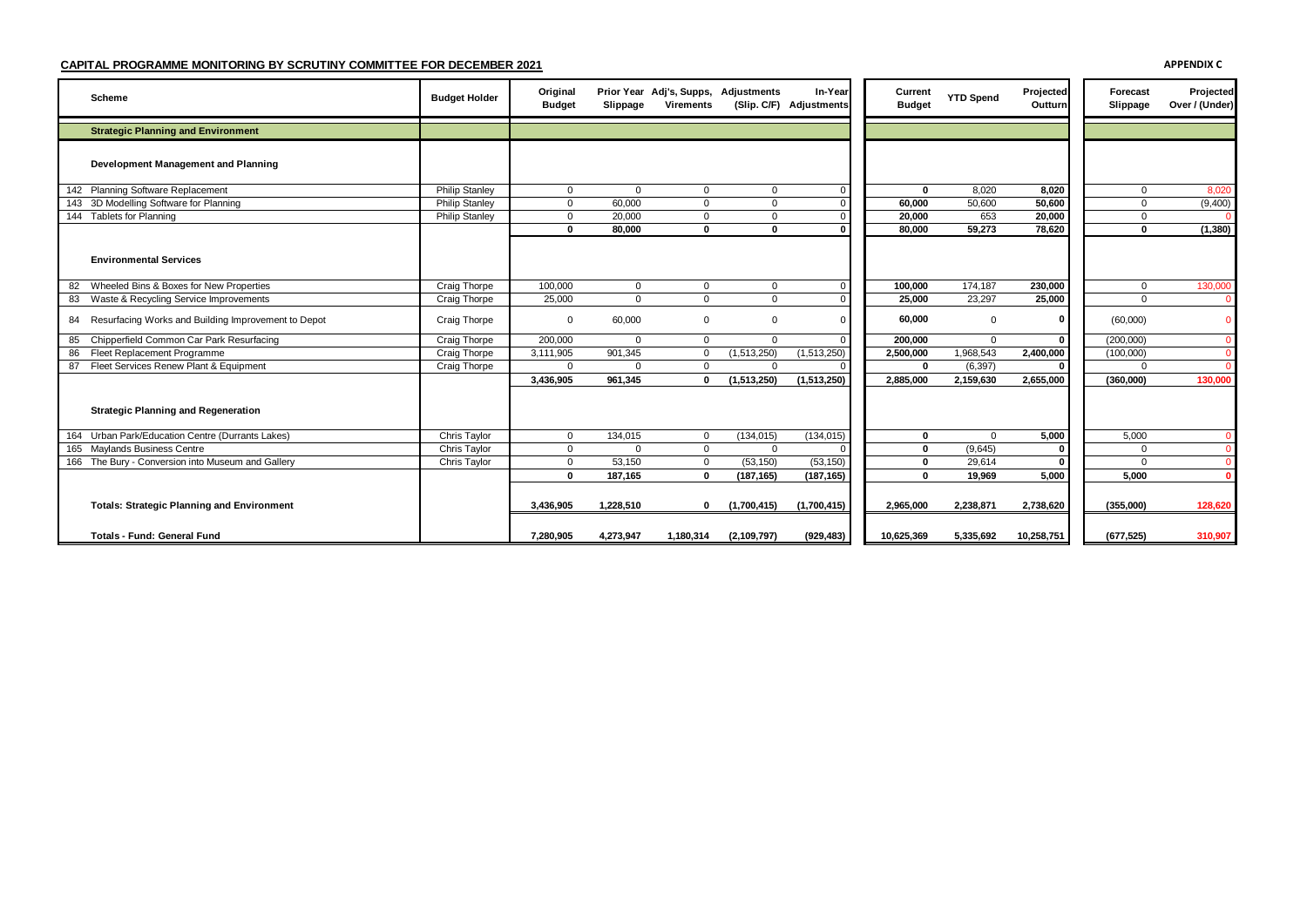| Scheme                                                 | <b>Budget Holder</b>  | Original<br><b>Budget</b> | Slippage  | Prior Year Adj's, Supps, Adjustments<br><b>Virements</b> |               | In-Year<br>(Slip. C/F) Adjustments | Current<br><b>Budget</b> | <b>YTD Spend</b> | Projected<br>Outturn | Forecast<br>Slippage | Projected<br>Over / (Under) |
|--------------------------------------------------------|-----------------------|---------------------------|-----------|----------------------------------------------------------|---------------|------------------------------------|--------------------------|------------------|----------------------|----------------------|-----------------------------|
| <b>Strategic Planning and Environment</b>              |                       |                           |           |                                                          |               |                                    |                          |                  |                      |                      |                             |
| Development Management and Planning                    |                       |                           |           |                                                          |               |                                    |                          |                  |                      |                      |                             |
| 142 Planning Software Replacement                      | <b>Philip Stanley</b> | $\mathbf 0$               | $\Omega$  | $\Omega$                                                 | 0             |                                    | $\Omega$                 | 8,020            | 8,020                | $\mathbf 0$          | 8,020                       |
| 143 3D Modelling Software for Planning                 | <b>Philip Stanley</b> | $\mathbf 0$               | 60,000    | 0                                                        | $\Omega$      |                                    | 60.000                   | 50,600           | 50,600               | $\Omega$             | (9,400)                     |
| 144 Tablets for Planning                               | <b>Philip Stanley</b> | $\mathbf 0$               | 20,000    | 0                                                        | $\Omega$      |                                    | 20.000                   | 653              | 20,000               | $\Omega$             |                             |
| <b>Environmental Services</b>                          |                       | 0                         | 80,000    | $\Omega$                                                 | $\bf{0}$      |                                    | 80,000                   | 59,273           | 78,620               | O                    | (1, 380)                    |
| 82 Wheeled Bins & Boxes for New Properties             | Craig Thorpe          | 100,000                   | $\Omega$  | 0                                                        | 0             |                                    | 100,000                  | 174,187          | 230,000              | $\Omega$             | 130,000                     |
| 83 Waste & Recycling Service Improvements              | Craig Thorpe          | 25,000                    | $\Omega$  | <sup>n</sup>                                             | $\Omega$      |                                    | 25,000                   | 23,297           | 25,000               | $\Omega$             |                             |
| 84 Resurfacing Works and Building Improvement to Depot | Craig Thorpe          | $\Omega$                  | 60,000    | $\Omega$                                                 | $\Omega$      |                                    | 60.000                   | $\mathbf 0$      | O                    | (60,000)             |                             |
| Chipperfield Common Car Park Resurfacing<br>85         | Craig Thorpe          | 200,000                   | $\Omega$  | $\Omega$                                                 | $\Omega$      |                                    | 200.000                  | $\mathbf 0$      | $\Omega$             | (200,000)            |                             |
| 86 Fleet Replacement Programme                         | Craig Thorpe          | 3,111,905                 | 901,345   | 0                                                        | (1,513,250)   | (1,513,250)                        | 2,500,000                | 1,968,543        | 2,400,000            | (100,000)            |                             |
| 87 Fleet Services Renew Plant & Equipment              | Craig Thorpe          | $\mathbf 0$               | $\Omega$  | $\Omega$                                                 | $\Omega$      |                                    | $\bf{0}$                 | (6, 397)         | $\Omega$             | $\Omega$             |                             |
| <b>Strategic Planning and Regeneration</b>             |                       | 3,436,905                 | 961.345   | n                                                        | (1,513,250)   | (1,513,250)                        | 2.885.000                | 2,159,630        | 2,655,000            | (360,000)            | 130,000                     |
| 164 Urban Park/Education Centre (Durrants Lakes)       | Chris Taylor          | $\mathbf 0$               | 134,015   | $\Omega$                                                 | (134, 015)    | (134, 015)                         | $\bf{0}$                 | $\mathbf 0$      | 5,000                | 5,000                |                             |
| 165 Maylands Business Centre                           | Chris Taylor          | $\mathbf{0}$              | $\Omega$  | $\Omega$                                                 | $\Omega$      |                                    | $\bf{0}$                 | (9,645)          | O                    | $\Omega$             |                             |
| 166 The Bury - Conversion into Museum and Gallery      | Chris Taylor          | $\mathbf 0$               | 53,150    | $\Omega$                                                 | (53, 150)     | (53, 150)                          | 0                        | 29,614           |                      | $\Omega$             |                             |
|                                                        |                       | $\bf{0}$                  | 187,165   | 0                                                        | (187, 165)    | (187, 165)                         | $\Omega$                 | 19,969           | 5,000                | 5.000                |                             |
| <b>Totals: Strategic Planning and Environment</b>      |                       | 3,436,905                 | 1,228,510 | n                                                        | (1,700,415)   | (1,700,415)                        | 2,965,000                | 2,238,871        | 2,738,620            | (355,000)            | 128,620                     |
| <b>Totals - Fund: General Fund</b>                     |                       | 7.280.905                 | 4,273,947 | 1,180,314                                                | (2, 109, 797) | (929, 483)                         | 10.625.369               | 5,335,692        | 10,258,751           | (677.525)            | 310,907                     |